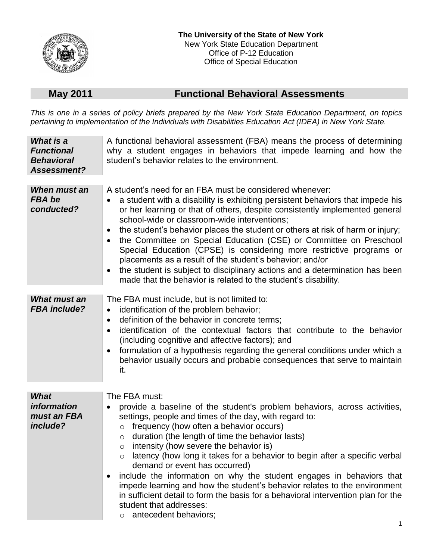

## **May 2011 Functional Behavioral Assessments**

*This is one in a series of policy briefs prepared by the New York State Education Department, on topics pertaining to implementation of the Individuals with Disabilities Education Act (IDEA) in New York State.*

| What is a<br><b>Functional</b><br><b>Behavioral</b><br>Assessment? | A functional behavioral assessment (FBA) means the process of determining<br>why a student engages in behaviors that impede learning and how the<br>student's behavior relates to the environment.                                                                                                                                                                                                                                                                                                                                                                                                                                                                                                                                                     |
|--------------------------------------------------------------------|--------------------------------------------------------------------------------------------------------------------------------------------------------------------------------------------------------------------------------------------------------------------------------------------------------------------------------------------------------------------------------------------------------------------------------------------------------------------------------------------------------------------------------------------------------------------------------------------------------------------------------------------------------------------------------------------------------------------------------------------------------|
| When must an<br><b>FBA</b> be<br>conducted?                        | A student's need for an FBA must be considered whenever:<br>a student with a disability is exhibiting persistent behaviors that impede his<br>or her learning or that of others, despite consistently implemented general<br>school-wide or classroom-wide interventions;<br>the student's behavior places the student or others at risk of harm or injury;<br>$\bullet$<br>the Committee on Special Education (CSE) or Committee on Preschool<br>Special Education (CPSE) is considering more restrictive programs or<br>placements as a result of the student's behavior; and/or<br>the student is subject to disciplinary actions and a determination has been<br>made that the behavior is related to the student's disability.                    |
| <b>What must an</b><br><b>FBA</b> include?                         | The FBA must include, but is not limited to:<br>identification of the problem behavior;<br>$\bullet$<br>definition of the behavior in concrete terms;<br>$\bullet$<br>identification of the contextual factors that contribute to the behavior<br>(including cognitive and affective factors); and<br>formulation of a hypothesis regarding the general conditions under which a<br>behavior usually occurs and probable consequences that serve to maintain<br>it.                                                                                                                                                                                                                                                                                    |
| <b>What</b><br><i>information</i><br>must an FBA<br>include?       | The FBA must:<br>provide a baseline of the student's problem behaviors, across activities,<br>settings, people and times of the day, with regard to:<br>frequency (how often a behavior occurs)<br>$\circ$<br>duration (the length of time the behavior lasts)<br>$\circ$<br>intensity (how severe the behavior is)<br>$\circ$<br>latency (how long it takes for a behavior to begin after a specific verbal<br>demand or event has occurred)<br>include the information on why the student engages in behaviors that<br>impede learning and how the student's behavior relates to the environment<br>in sufficient detail to form the basis for a behavioral intervention plan for the<br>student that addresses:<br>antecedent behaviors;<br>$\circ$ |